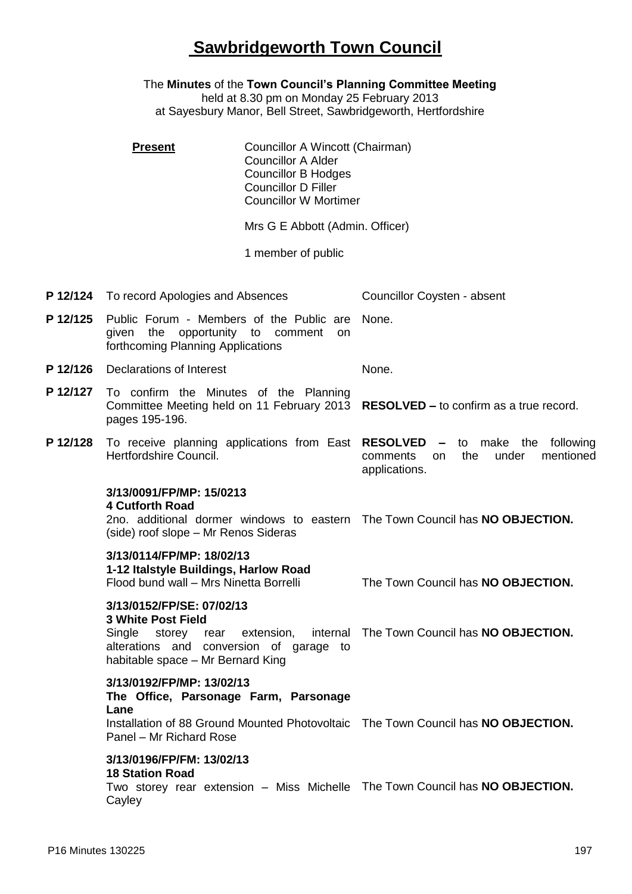## **Sawbridgeworth Town Council**

The **Minutes** of the **Town Council's Planning Committee Meeting**

held at 8.30 pm on Monday 25 February 2013 at Sayesbury Manor, Bell Street, Sawbridgeworth, Hertfordshire

|          | <b>Present</b>                                                                                                                                                                             | Councillor A Wincott (Chairman)<br><b>Councillor A Alder</b><br><b>Councillor B Hodges</b><br><b>Councillor D Filler</b><br><b>Councillor W Mortimer</b> |                                                                              |
|----------|--------------------------------------------------------------------------------------------------------------------------------------------------------------------------------------------|----------------------------------------------------------------------------------------------------------------------------------------------------------|------------------------------------------------------------------------------|
|          | Mrs G E Abbott (Admin. Officer)                                                                                                                                                            |                                                                                                                                                          |                                                                              |
|          |                                                                                                                                                                                            | 1 member of public<br>Councillor Coysten - absent                                                                                                        |                                                                              |
| P 12/124 | To record Apologies and Absences                                                                                                                                                           |                                                                                                                                                          |                                                                              |
| P 12/125 | Public Forum - Members of the Public are<br>the<br>opportunity to<br>comment<br>given<br>on<br>forthcoming Planning Applications<br>Declarations of Interest                               |                                                                                                                                                          | None.                                                                        |
| P 12/126 |                                                                                                                                                                                            |                                                                                                                                                          | None.                                                                        |
| P 12/127 | To confirm the Minutes of the Planning<br>Committee Meeting held on 11 February 2013 RESOLVED - to confirm as a true record.<br>pages 195-196.                                             |                                                                                                                                                          |                                                                              |
| P 12/128 | To receive planning applications from East RESOLVED - to make the<br>Hertfordshire Council.                                                                                                |                                                                                                                                                          | following<br>the<br>under<br>mentioned<br>comments<br>on<br>applications.    |
|          | 3/13/0091/FP/MP: 15/0213<br><b>4 Cutforth Road</b><br>2no. additional dormer windows to eastern The Town Council has NO OBJECTION.<br>(side) roof slope - Mr Renos Sideras                 |                                                                                                                                                          |                                                                              |
|          | 3/13/0114/FP/MP: 18/02/13<br>1-12 Italstyle Buildings, Harlow Road<br>Flood bund wall - Mrs Ninetta Borrelli                                                                               |                                                                                                                                                          | The Town Council has NO OBJECTION.                                           |
|          | 3/13/0152/FP/SE: 07/02/13<br><b>3 White Post Field</b><br>Single<br>alterations and conversion of garage to<br>habitable space - Mr Bernard King                                           |                                                                                                                                                          | storey rear extension, internal The Town Council has NO OBJECTION.           |
|          | 3/13/0192/FP/MP: 13/02/13<br>The Office, Parsonage Farm, Parsonage<br>Lane<br>Installation of 88 Ground Mounted Photovoltaic The Town Council has NO OBJECTION.<br>Panel - Mr Richard Rose |                                                                                                                                                          |                                                                              |
|          | 3/13/0196/FP/FM: 13/02/13<br><b>18 Station Road</b><br>Cayley                                                                                                                              |                                                                                                                                                          | Two storey rear extension - Miss Michelle The Town Council has NO OBJECTION. |